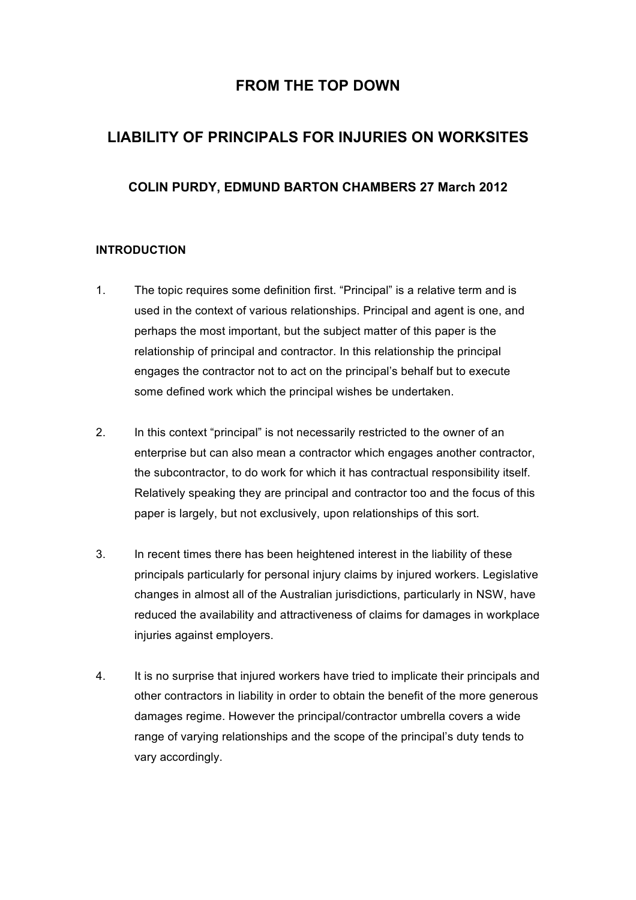## **FROM THE TOP DOWN**

# **LIABILITY OF PRINCIPALS FOR INJURIES ON WORKSITES**

## **COLIN PURDY, EDMUND BARTON CHAMBERS 27 March 2012**

## **INTRODUCTION**

- 1. The topic requires some definition first. "Principal" is a relative term and is used in the context of various relationships. Principal and agent is one, and perhaps the most important, but the subject matter of this paper is the relationship of principal and contractor. In this relationship the principal engages the contractor not to act on the principal's behalf but to execute some defined work which the principal wishes be undertaken.
- 2. In this context "principal" is not necessarily restricted to the owner of an enterprise but can also mean a contractor which engages another contractor, the subcontractor, to do work for which it has contractual responsibility itself. Relatively speaking they are principal and contractor too and the focus of this paper is largely, but not exclusively, upon relationships of this sort.
- 3. In recent times there has been heightened interest in the liability of these principals particularly for personal injury claims by injured workers. Legislative changes in almost all of the Australian jurisdictions, particularly in NSW, have reduced the availability and attractiveness of claims for damages in workplace injuries against employers.
- 4. It is no surprise that injured workers have tried to implicate their principals and other contractors in liability in order to obtain the benefit of the more generous damages regime. However the principal/contractor umbrella covers a wide range of varying relationships and the scope of the principal's duty tends to vary accordingly.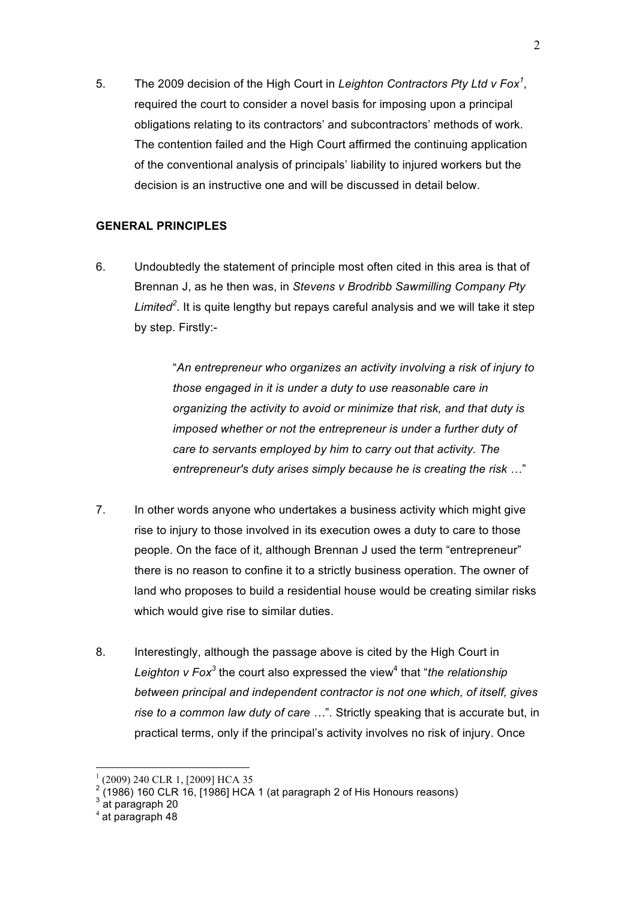5. The 2009 decision of the High Court in *Leighton Contractors Pty Ltd v Fox<sup>1</sup>* , required the court to consider a novel basis for imposing upon a principal obligations relating to its contractors' and subcontractors' methods of work. The contention failed and the High Court affirmed the continuing application of the conventional analysis of principals' liability to injured workers but the decision is an instructive one and will be discussed in detail below.

## **GENERAL PRINCIPLES**

6. Undoubtedly the statement of principle most often cited in this area is that of Brennan J, as he then was, in *Stevens v Brodribb Sawmilling Company Pty Limited<sup>2</sup>* . It is quite lengthy but repays careful analysis and we will take it step by step. Firstly:-

> "*An entrepreneur who organizes an activity involving a risk of injury to those engaged in it is under a duty to use reasonable care in organizing the activity to avoid or minimize that risk, and that duty is imposed whether or not the entrepreneur is under a further duty of care to servants employed by him to carry out that activity. The entrepreneur's duty arises simply because he is creating the risk …*"

- 7. In other words anyone who undertakes a business activity which might give rise to injury to those involved in its execution owes a duty to care to those people. On the face of it, although Brennan J used the term "entrepreneur" there is no reason to confine it to a strictly business operation. The owner of land who proposes to build a residential house would be creating similar risks which would give rise to similar duties.
- 8. Interestingly, although the passage above is cited by the High Court in *Leighton v Fox<sup>3</sup>* the court also expressed the view<sup>4</sup> that "*the relationship between principal and independent contractor is not one which, of itself, gives rise to a common law duty of care …*". Strictly speaking that is accurate but, in practical terms, only if the principal's activity involves no risk of injury. Once

 <sup>1</sup> (2009) 240 CLR 1, [2009] HCA 35

 $2(1986)$  160 CLR 16, [1986] HCA 1 (at paragraph 2 of His Honours reasons)

 $^3$  at paragraph 20

 $4$  at paragraph 48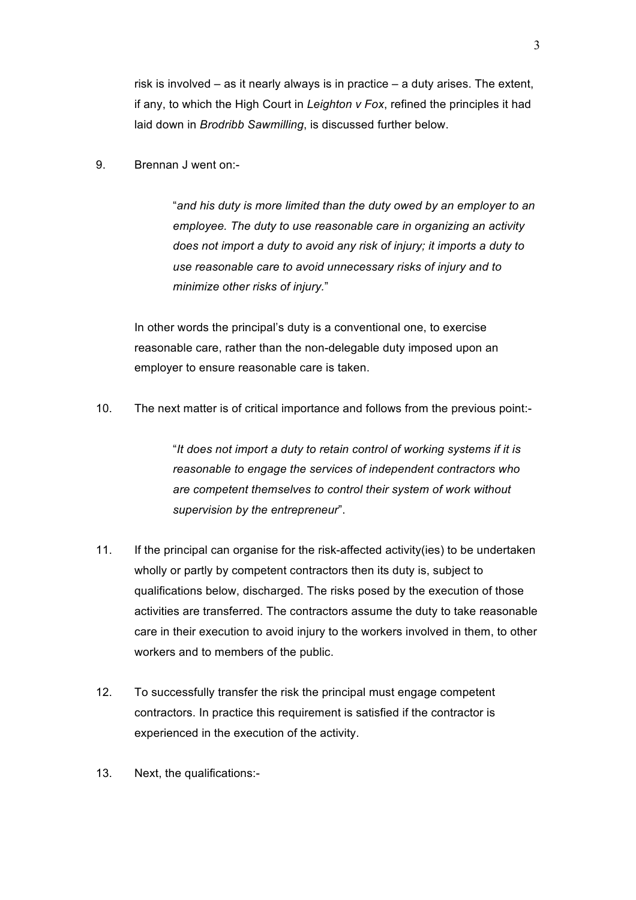risk is involved – as it nearly always is in practice – a duty arises. The extent, if any, to which the High Court in *Leighton v Fox*, refined the principles it had laid down in *Brodribb Sawmilling*, is discussed further below.

9. Brennan J went on:-

"*and his duty is more limited than the duty owed by an employer to an employee. The duty to use reasonable care in organizing an activity does not import a duty to avoid any risk of injury; it imports a duty to use reasonable care to avoid unnecessary risks of injury and to minimize other risks of injury.*"

In other words the principal's duty is a conventional one, to exercise reasonable care, rather than the non-delegable duty imposed upon an employer to ensure reasonable care is taken.

10. The next matter is of critical importance and follows from the previous point:-

"*It does not import a duty to retain control of working systems if it is reasonable to engage the services of independent contractors who are competent themselves to control their system of work without supervision by the entrepreneur*".

- 11. If the principal can organise for the risk-affected activity(ies) to be undertaken wholly or partly by competent contractors then its duty is, subject to qualifications below, discharged. The risks posed by the execution of those activities are transferred. The contractors assume the duty to take reasonable care in their execution to avoid injury to the workers involved in them, to other workers and to members of the public.
- 12. To successfully transfer the risk the principal must engage competent contractors. In practice this requirement is satisfied if the contractor is experienced in the execution of the activity.
- 13. Next, the qualifications:-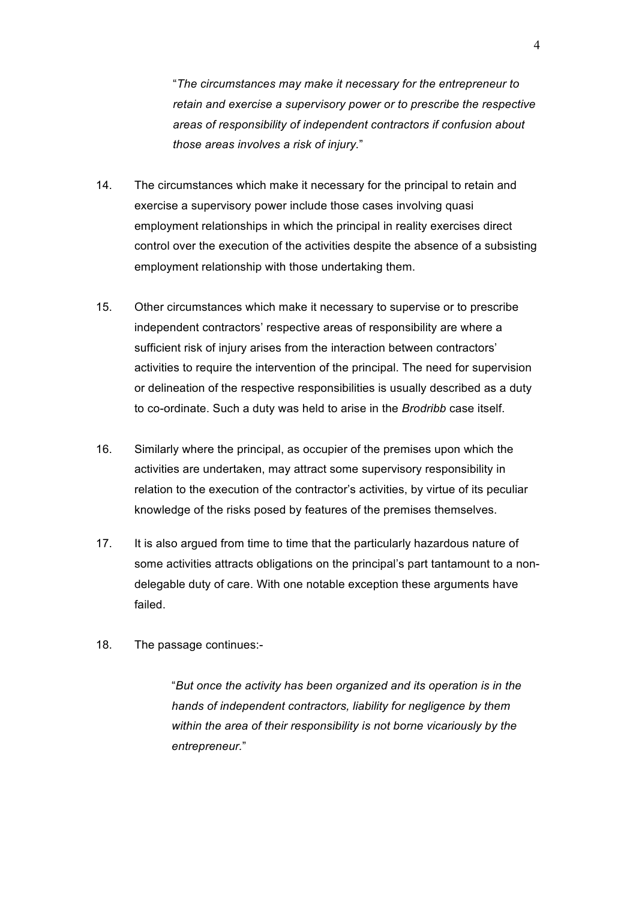"*The circumstances may make it necessary for the entrepreneur to retain and exercise a supervisory power or to prescribe the respective areas of responsibility of independent contractors if confusion about those areas involves a risk of injury.*"

- 14. The circumstances which make it necessary for the principal to retain and exercise a supervisory power include those cases involving quasi employment relationships in which the principal in reality exercises direct control over the execution of the activities despite the absence of a subsisting employment relationship with those undertaking them.
- 15. Other circumstances which make it necessary to supervise or to prescribe independent contractors' respective areas of responsibility are where a sufficient risk of injury arises from the interaction between contractors' activities to require the intervention of the principal. The need for supervision or delineation of the respective responsibilities is usually described as a duty to co-ordinate. Such a duty was held to arise in the *Brodribb* case itself.
- 16. Similarly where the principal, as occupier of the premises upon which the activities are undertaken, may attract some supervisory responsibility in relation to the execution of the contractor's activities, by virtue of its peculiar knowledge of the risks posed by features of the premises themselves.
- 17. It is also argued from time to time that the particularly hazardous nature of some activities attracts obligations on the principal's part tantamount to a nondelegable duty of care. With one notable exception these arguments have failed.
- 18. The passage continues:-

"*But once the activity has been organized and its operation is in the hands of independent contractors, liability for negligence by them within the area of their responsibility is not borne vicariously by the entrepreneur.*"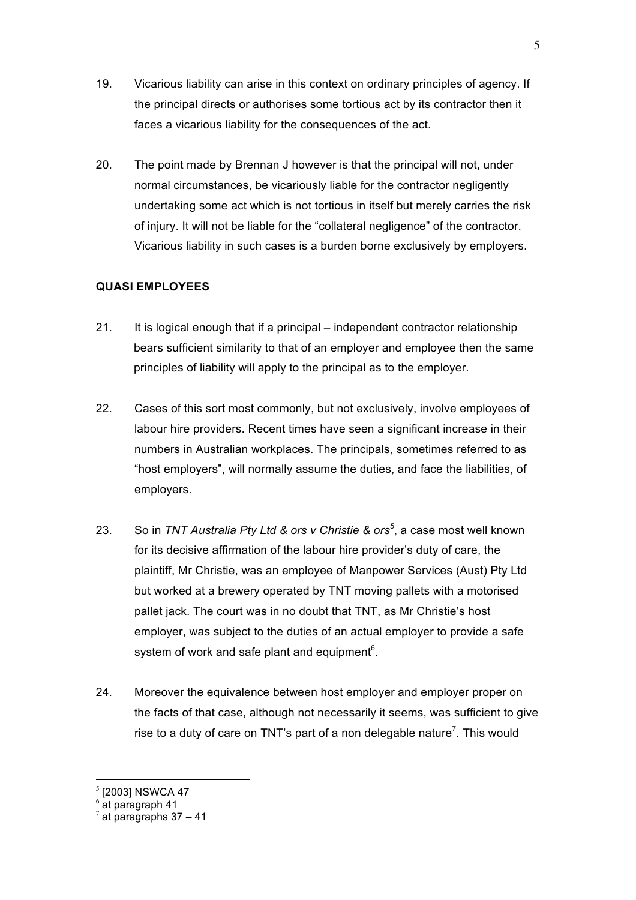- 19. Vicarious liability can arise in this context on ordinary principles of agency. If the principal directs or authorises some tortious act by its contractor then it faces a vicarious liability for the consequences of the act.
- 20. The point made by Brennan J however is that the principal will not, under normal circumstances, be vicariously liable for the contractor negligently undertaking some act which is not tortious in itself but merely carries the risk of injury. It will not be liable for the "collateral negligence" of the contractor. Vicarious liability in such cases is a burden borne exclusively by employers.

## **QUASI EMPLOYEES**

- 21. It is logical enough that if a principal independent contractor relationship bears sufficient similarity to that of an employer and employee then the same principles of liability will apply to the principal as to the employer.
- 22. Cases of this sort most commonly, but not exclusively, involve employees of labour hire providers. Recent times have seen a significant increase in their numbers in Australian workplaces. The principals, sometimes referred to as "host employers", will normally assume the duties, and face the liabilities, of employers.
- 23. So in *TNT Australia Pty Ltd & ors v Christie & ors<sup>5</sup>* , a case most well known for its decisive affirmation of the labour hire provider's duty of care, the plaintiff, Mr Christie, was an employee of Manpower Services (Aust) Pty Ltd but worked at a brewery operated by TNT moving pallets with a motorised pallet jack. The court was in no doubt that TNT, as Mr Christie's host employer, was subject to the duties of an actual employer to provide a safe system of work and safe plant and equipment $6$ .
- 24. Moreover the equivalence between host employer and employer proper on the facts of that case, although not necessarily it seems, was sufficient to give rise to a duty of care on TNT's part of a non delegable nature<sup>7</sup>. This would

 $<sup>5</sup>$  [2003] NSWCA 47<br> $<sup>6</sup>$  at paragraph 41</sup></sup>

 $\frac{7}{4}$  at paragraphs 37 – 41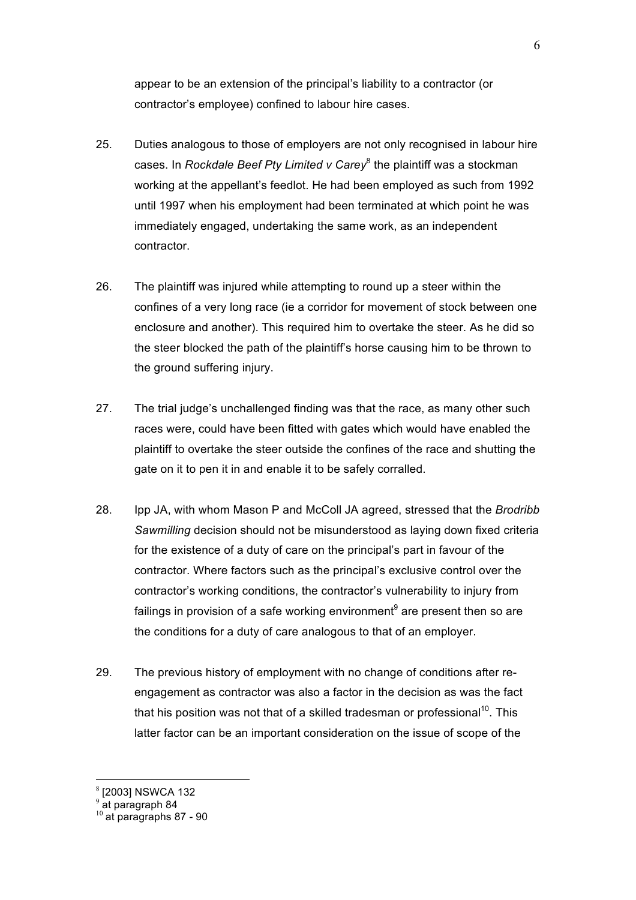appear to be an extension of the principal's liability to a contractor (or contractor's employee) confined to labour hire cases.

- 25. Duties analogous to those of employers are not only recognised in labour hire cases. In *Rockdale Beef Pty Limited v Carey*<sup>8</sup> the plaintiff was a stockman working at the appellant's feedlot. He had been employed as such from 1992 until 1997 when his employment had been terminated at which point he was immediately engaged, undertaking the same work, as an independent contractor.
- 26. The plaintiff was injured while attempting to round up a steer within the confines of a very long race (ie a corridor for movement of stock between one enclosure and another). This required him to overtake the steer. As he did so the steer blocked the path of the plaintiff's horse causing him to be thrown to the ground suffering injury.
- 27. The trial judge's unchallenged finding was that the race, as many other such races were, could have been fitted with gates which would have enabled the plaintiff to overtake the steer outside the confines of the race and shutting the gate on it to pen it in and enable it to be safely corralled.
- 28. Ipp JA, with whom Mason P and McColl JA agreed, stressed that the *Brodribb Sawmilling* decision should not be misunderstood as laying down fixed criteria for the existence of a duty of care on the principal's part in favour of the contractor. Where factors such as the principal's exclusive control over the contractor's working conditions, the contractor's vulnerability to injury from failings in provision of a safe working environment<sup>9</sup> are present then so are the conditions for a duty of care analogous to that of an employer.
- 29. The previous history of employment with no change of conditions after reengagement as contractor was also a factor in the decision as was the fact that his position was not that of a skilled tradesman or professional<sup>10</sup>. This latter factor can be an important consideration on the issue of scope of the

 <sup>8</sup> [2003] NSWCA 132

 $9$  at paragraph 84

 $10$  at paragraphs 87 - 90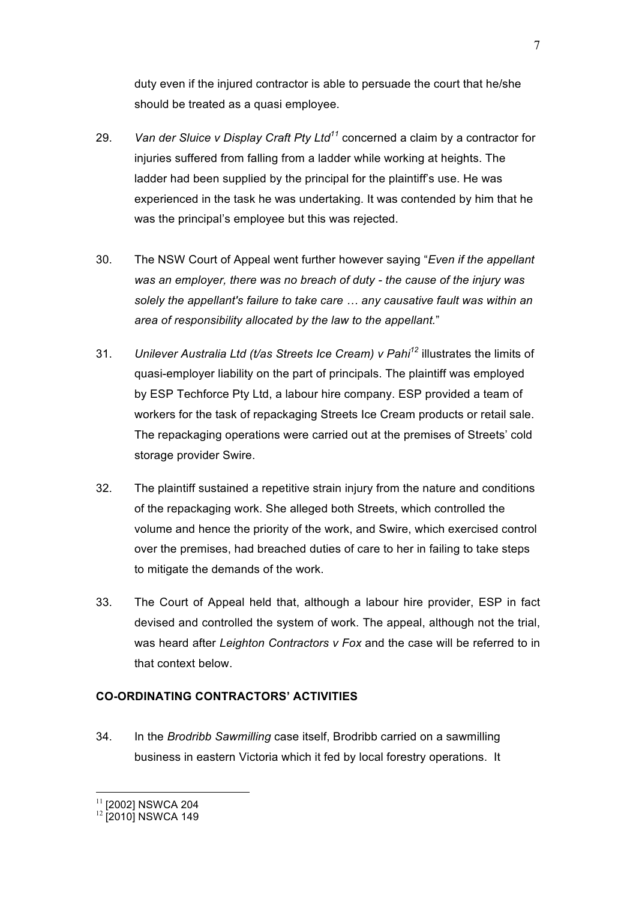duty even if the injured contractor is able to persuade the court that he/she should be treated as a quasi employee.

- 29. *Van der Sluice v Display Craft Pty Ltd<sup>11</sup>* concerned a claim by a contractor for injuries suffered from falling from a ladder while working at heights. The ladder had been supplied by the principal for the plaintiff's use. He was experienced in the task he was undertaking. It was contended by him that he was the principal's employee but this was rejected.
- 30. The NSW Court of Appeal went further however saying "*Even if the appellant was an employer, there was no breach of duty - the cause of the injury was solely the appellant's failure to take care … any causative fault was within an area of responsibility allocated by the law to the appellant.*"
- 31. *Unilever Australia Ltd (t/as Streets Ice Cream) v Pahi<sup>12</sup>* illustrates the limits of quasi-employer liability on the part of principals. The plaintiff was employed by ESP Techforce Pty Ltd, a labour hire company. ESP provided a team of workers for the task of repackaging Streets Ice Cream products or retail sale. The repackaging operations were carried out at the premises of Streets' cold storage provider Swire.
- 32. The plaintiff sustained a repetitive strain injury from the nature and conditions of the repackaging work. She alleged both Streets, which controlled the volume and hence the priority of the work, and Swire, which exercised control over the premises, had breached duties of care to her in failing to take steps to mitigate the demands of the work.
- 33. The Court of Appeal held that, although a labour hire provider, ESP in fact devised and controlled the system of work. The appeal, although not the trial, was heard after *Leighton Contractors v Fox* and the case will be referred to in that context below.

## **CO-ORDINATING CONTRACTORS' ACTIVITIES**

34. In the *Brodribb Sawmilling* case itself, Brodribb carried on a sawmilling business in eastern Victoria which it fed by local forestry operations. It

 $^{11}$  [2002] NSWCA 204<br> $^{12}$  [2010] NSWCA 149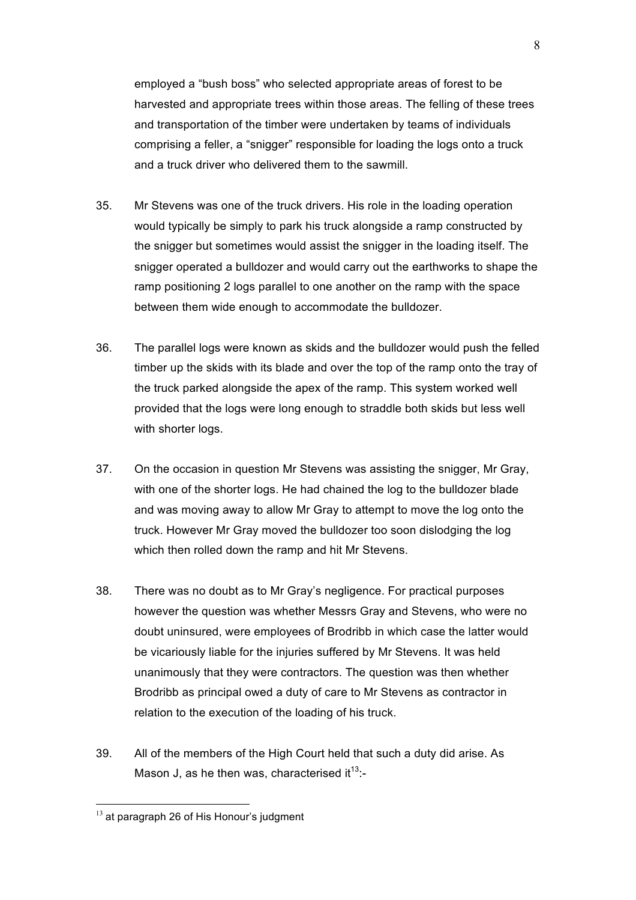employed a "bush boss" who selected appropriate areas of forest to be harvested and appropriate trees within those areas. The felling of these trees and transportation of the timber were undertaken by teams of individuals comprising a feller, a "snigger" responsible for loading the logs onto a truck and a truck driver who delivered them to the sawmill.

- 35. Mr Stevens was one of the truck drivers. His role in the loading operation would typically be simply to park his truck alongside a ramp constructed by the snigger but sometimes would assist the snigger in the loading itself. The snigger operated a bulldozer and would carry out the earthworks to shape the ramp positioning 2 logs parallel to one another on the ramp with the space between them wide enough to accommodate the bulldozer.
- 36. The parallel logs were known as skids and the bulldozer would push the felled timber up the skids with its blade and over the top of the ramp onto the tray of the truck parked alongside the apex of the ramp. This system worked well provided that the logs were long enough to straddle both skids but less well with shorter logs.
- 37. On the occasion in question Mr Stevens was assisting the snigger, Mr Gray, with one of the shorter logs. He had chained the log to the bulldozer blade and was moving away to allow Mr Gray to attempt to move the log onto the truck. However Mr Gray moved the bulldozer too soon dislodging the log which then rolled down the ramp and hit Mr Stevens.
- 38. There was no doubt as to Mr Gray's negligence. For practical purposes however the question was whether Messrs Gray and Stevens, who were no doubt uninsured, were employees of Brodribb in which case the latter would be vicariously liable for the injuries suffered by Mr Stevens. It was held unanimously that they were contractors. The question was then whether Brodribb as principal owed a duty of care to Mr Stevens as contractor in relation to the execution of the loading of his truck.
- 39. All of the members of the High Court held that such a duty did arise. As Mason J, as he then was, characterised it $13$ :-

 $13$  at paragraph 26 of His Honour's judgment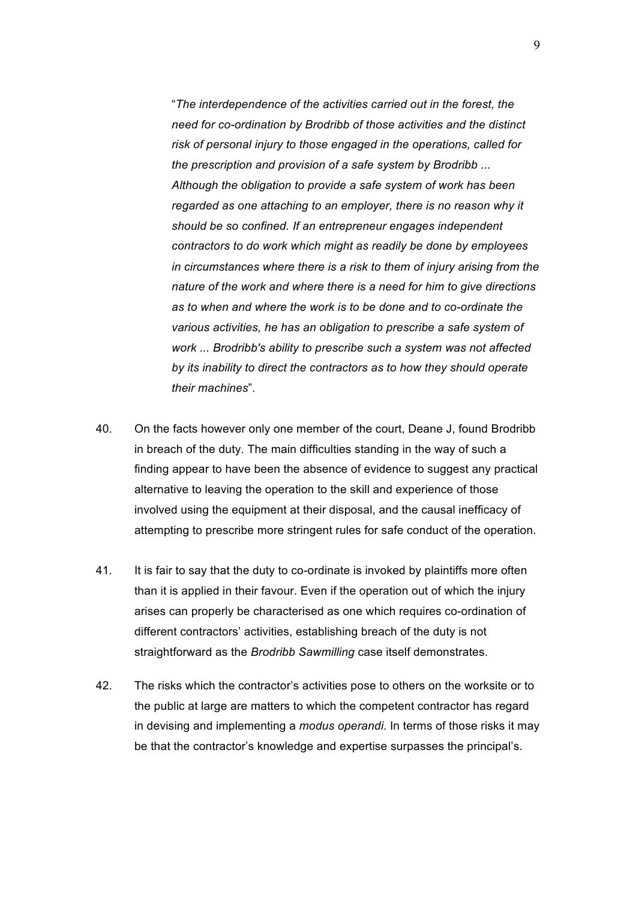"*The interdependence of the activities carried out in the forest, the need for co-ordination by Brodribb of those activities and the distinct risk of personal injury to those engaged in the operations, called for the prescription and provision of a safe system by Brodribb ... Although the obligation to provide a safe system of work has been regarded as one attaching to an employer, there is no reason why it should be so confined. If an entrepreneur engages independent contractors to do work which might as readily be done by employees in circumstances where there is a risk to them of injury arising from the nature of the work and where there is a need for him to give directions as to when and where the work is to be done and to co-ordinate the various activities, he has an obligation to prescribe a safe system of work ... Brodribb's ability to prescribe such a system was not affected by its inability to direct the contractors as to how they should operate their machines*".

- 40. On the facts however only one member of the court, Deane J, found Brodribb in breach of the duty. The main difficulties standing in the way of such a finding appear to have been the absence of evidence to suggest any practical alternative to leaving the operation to the skill and experience of those involved using the equipment at their disposal, and the causal inefficacy of attempting to prescribe more stringent rules for safe conduct of the operation.
- 41. It is fair to say that the duty to co-ordinate is invoked by plaintiffs more often than it is applied in their favour. Even if the operation out of which the injury arises can properly be characterised as one which requires co-ordination of different contractors' activities, establishing breach of the duty is not straightforward as the *Brodribb Sawmilling* case itself demonstrates.
- 42. The risks which the contractor's activities pose to others on the worksite or to the public at large are matters to which the competent contractor has regard in devising and implementing a *modus operandi*. In terms of those risks it may be that the contractor's knowledge and expertise surpasses the principal's.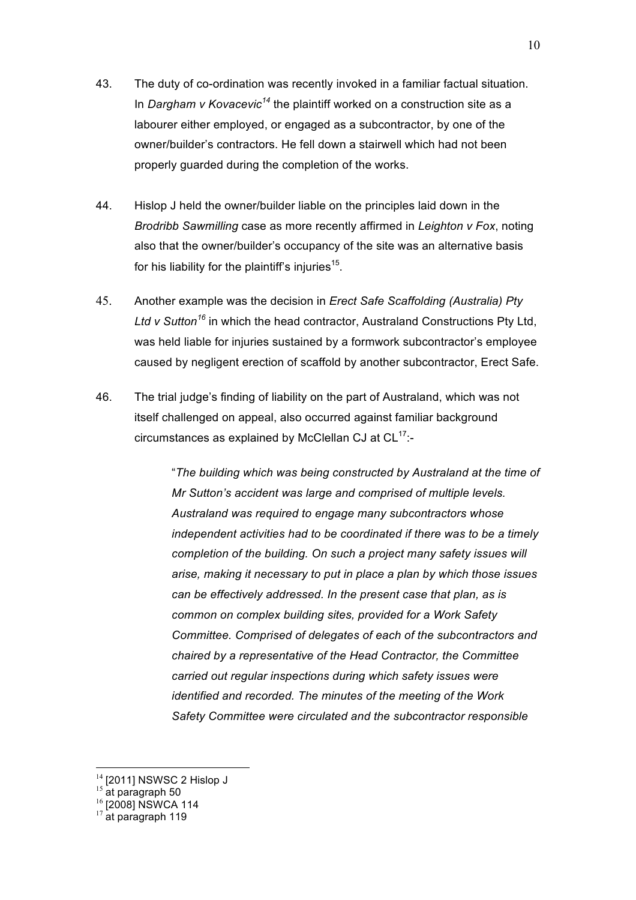- 43. The duty of co-ordination was recently invoked in a familiar factual situation. In *Dargham v Kovacevic<sup>14</sup>* the plaintiff worked on a construction site as a labourer either employed, or engaged as a subcontractor, by one of the owner/builder's contractors. He fell down a stairwell which had not been properly guarded during the completion of the works.
- 44. Hislop J held the owner/builder liable on the principles laid down in the *Brodribb Sawmilling* case as more recently affirmed in *Leighton v Fox*, noting also that the owner/builder's occupancy of the site was an alternative basis for his liability for the plaintiff's injuries $15$ .
- 45. Another example was the decision in *Erect Safe Scaffolding (Australia) Pty Ltd v Sutton<sup>16</sup>* in which the head contractor, Australand Constructions Pty Ltd, was held liable for injuries sustained by a formwork subcontractor's employee caused by negligent erection of scaffold by another subcontractor, Erect Safe.
- 46. The trial judge's finding of liability on the part of Australand, which was not itself challenged on appeal, also occurred against familiar background circumstances as explained by McClellan CJ at  $CL^{17}$ :-

"*The building which was being constructed by Australand at the time of Mr Sutton's accident was large and comprised of multiple levels. Australand was required to engage many subcontractors whose independent activities had to be coordinated if there was to be a timely completion of the building. On such a project many safety issues will arise, making it necessary to put in place a plan by which those issues can be effectively addressed. In the present case that plan, as is common on complex building sites, provided for a Work Safety Committee. Comprised of delegates of each of the subcontractors and chaired by a representative of the Head Contractor, the Committee carried out regular inspections during which safety issues were identified and recorded. The minutes of the meeting of the Work Safety Committee were circulated and the subcontractor responsible* 

<sup>&</sup>lt;sup>14</sup> [2011] NSWSC 2 Hislop J<br><sup>15</sup> at paragraph 50<br><sup>16</sup> [2008] NSWCA 114<br><sup>17</sup> at paragraph 119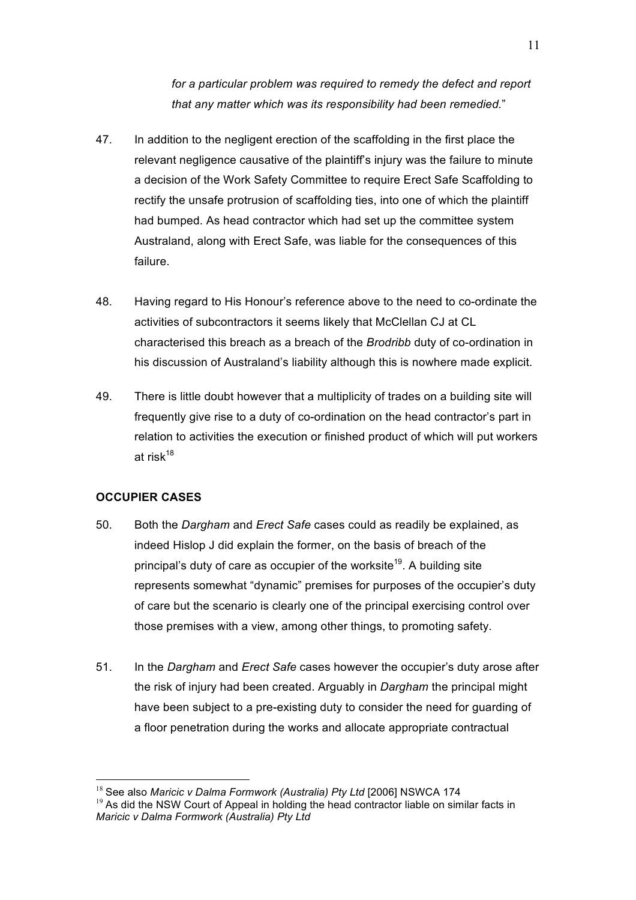*for a particular problem was required to remedy the defect and report that any matter which was its responsibility had been remedied.*"

- 47. In addition to the negligent erection of the scaffolding in the first place the relevant negligence causative of the plaintiff's injury was the failure to minute a decision of the Work Safety Committee to require Erect Safe Scaffolding to rectify the unsafe protrusion of scaffolding ties, into one of which the plaintiff had bumped. As head contractor which had set up the committee system Australand, along with Erect Safe, was liable for the consequences of this failure.
- 48. Having regard to His Honour's reference above to the need to co-ordinate the activities of subcontractors it seems likely that McClellan CJ at CL characterised this breach as a breach of the *Brodribb* duty of co-ordination in his discussion of Australand's liability although this is nowhere made explicit.
- 49. There is little doubt however that a multiplicity of trades on a building site will frequently give rise to a duty of co-ordination on the head contractor's part in relation to activities the execution or finished product of which will put workers at risk $18$

## **OCCUPIER CASES**

- 50. Both the *Dargham* and *Erect Safe* cases could as readily be explained, as indeed Hislop J did explain the former, on the basis of breach of the principal's duty of care as occupier of the worksite<sup>19</sup>. A building site represents somewhat "dynamic" premises for purposes of the occupier's duty of care but the scenario is clearly one of the principal exercising control over those premises with a view, among other things, to promoting safety.
- 51. In the *Dargham* and *Erect Safe* cases however the occupier's duty arose after the risk of injury had been created. Arguably in *Dargham* the principal might have been subject to a pre-existing duty to consider the need for guarding of a floor penetration during the works and allocate appropriate contractual

<sup>&</sup>lt;sup>18</sup> See also *Maricic v Dalma Formwork (Australia) Pty Ltd* [2006] NSWCA 174<br><sup>19</sup> As did the NSW Court of Appeal in holding the head contractor liable on similar facts in *Maricic v Dalma Formwork (Australia) Pty Ltd*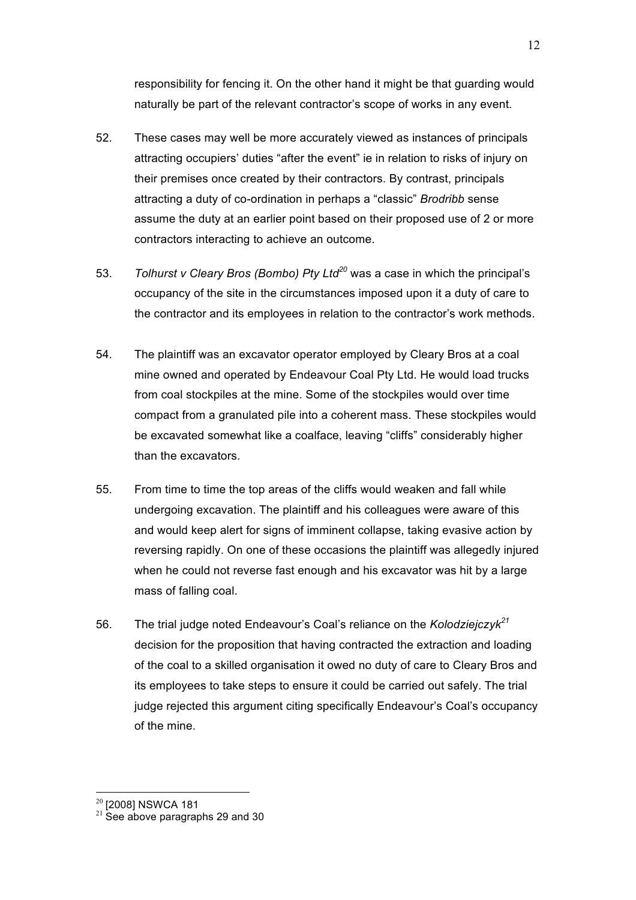responsibility for fencing it. On the other hand it might be that guarding would naturally be part of the relevant contractor's scope of works in any event.

- 52. These cases may well be more accurately viewed as instances of principals attracting occupiers' duties "after the event" ie in relation to risks of injury on their premises once created by their contractors. By contrast, principals attracting a duty of co-ordination in perhaps a "classic" *Brodribb* sense assume the duty at an earlier point based on their proposed use of 2 or more contractors interacting to achieve an outcome.
- 53. *Tolhurst v Cleary Bros (Bombo) Pty Ltd<sup>20</sup>* was a case in which the principal's occupancy of the site in the circumstances imposed upon it a duty of care to the contractor and its employees in relation to the contractor's work methods.
- 54. The plaintiff was an excavator operator employed by Cleary Bros at a coal mine owned and operated by Endeavour Coal Pty Ltd. He would load trucks from coal stockpiles at the mine. Some of the stockpiles would over time compact from a granulated pile into a coherent mass. These stockpiles would be excavated somewhat like a coalface, leaving "cliffs" considerably higher than the excavators.
- 55. From time to time the top areas of the cliffs would weaken and fall while undergoing excavation. The plaintiff and his colleagues were aware of this and would keep alert for signs of imminent collapse, taking evasive action by reversing rapidly. On one of these occasions the plaintiff was allegedly injured when he could not reverse fast enough and his excavator was hit by a large mass of falling coal.
- 56. The trial judge noted Endeavour's Coal's reliance on the *Kolodziejczyk<sup>21</sup>* decision for the proposition that having contracted the extraction and loading of the coal to a skilled organisation it owed no duty of care to Cleary Bros and its employees to take steps to ensure it could be carried out safely. The trial judge rejected this argument citing specifically Endeavour's Coal's occupancy of the mine.

 $^{20}$  [2008] NSWCA 181<br> $^{21}$  See above paragraphs 29 and 30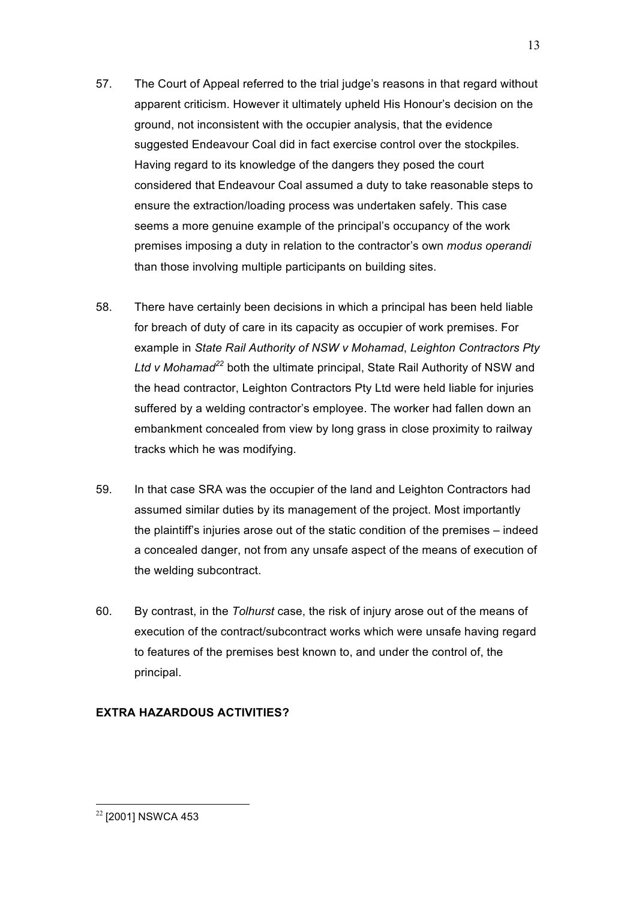- 57. The Court of Appeal referred to the trial judge's reasons in that regard without apparent criticism. However it ultimately upheld His Honour's decision on the ground, not inconsistent with the occupier analysis, that the evidence suggested Endeavour Coal did in fact exercise control over the stockpiles. Having regard to its knowledge of the dangers they posed the court considered that Endeavour Coal assumed a duty to take reasonable steps to ensure the extraction/loading process was undertaken safely. This case seems a more genuine example of the principal's occupancy of the work premises imposing a duty in relation to the contractor's own *modus operandi* than those involving multiple participants on building sites.
- 58. There have certainly been decisions in which a principal has been held liable for breach of duty of care in its capacity as occupier of work premises. For example in *State Rail Authority of NSW v Mohamad*, *Leighton Contractors Pty Ltd v Mohamad<sup>22</sup>* both the ultimate principal, State Rail Authority of NSW and the head contractor, Leighton Contractors Pty Ltd were held liable for injuries suffered by a welding contractor's employee. The worker had fallen down an embankment concealed from view by long grass in close proximity to railway tracks which he was modifying.
- 59. In that case SRA was the occupier of the land and Leighton Contractors had assumed similar duties by its management of the project. Most importantly the plaintiff's injuries arose out of the static condition of the premises – indeed a concealed danger, not from any unsafe aspect of the means of execution of the welding subcontract.
- 60. By contrast, in the *Tolhurst* case, the risk of injury arose out of the means of execution of the contract/subcontract works which were unsafe having regard to features of the premises best known to, and under the control of, the principal.

## **EXTRA HAZARDOUS ACTIVITIES?**

<sup>&</sup>lt;sup>22</sup> [2001] NSWCA 453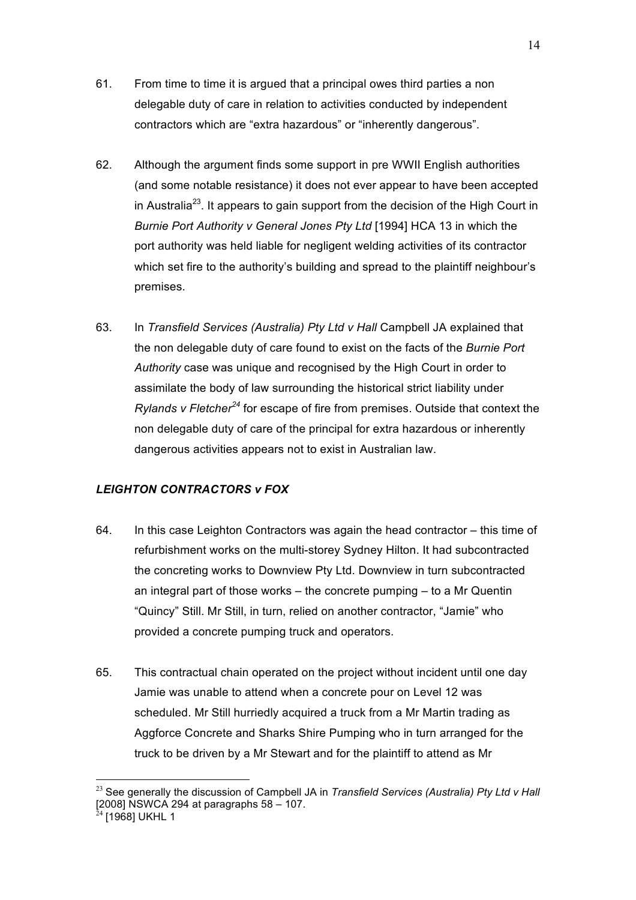- 61. From time to time it is argued that a principal owes third parties a non delegable duty of care in relation to activities conducted by independent contractors which are "extra hazardous" or "inherently dangerous".
- 62. Although the argument finds some support in pre WWII English authorities (and some notable resistance) it does not ever appear to have been accepted in Australia<sup>23</sup>. It appears to gain support from the decision of the High Court in *Burnie Port Authority v General Jones Pty Ltd* [1994] HCA 13 in which the port authority was held liable for negligent welding activities of its contractor which set fire to the authority's building and spread to the plaintiff neighbour's premises.
- 63. In *Transfield Services (Australia) Pty Ltd v Hall* Campbell JA explained that the non delegable duty of care found to exist on the facts of the *Burnie Port Authority* case was unique and recognised by the High Court in order to assimilate the body of law surrounding the historical strict liability under *Rylands v Fletcher<sup>24</sup>* for escape of fire from premises. Outside that context the non delegable duty of care of the principal for extra hazardous or inherently dangerous activities appears not to exist in Australian law.

## *LEIGHTON CONTRACTORS v FOX*

- 64. In this case Leighton Contractors was again the head contractor this time of refurbishment works on the multi-storey Sydney Hilton. It had subcontracted the concreting works to Downview Pty Ltd. Downview in turn subcontracted an integral part of those works – the concrete pumping – to a Mr Quentin "Quincy" Still. Mr Still, in turn, relied on another contractor, "Jamie" who provided a concrete pumping truck and operators.
- 65. This contractual chain operated on the project without incident until one day Jamie was unable to attend when a concrete pour on Level 12 was scheduled. Mr Still hurriedly acquired a truck from a Mr Martin trading as Aggforce Concrete and Sharks Shire Pumping who in turn arranged for the truck to be driven by a Mr Stewart and for the plaintiff to attend as Mr

 <sup>23</sup> See generally the discussion of Campbell JA in *Transfield Services (Australia) Pty Ltd v Hall*   $[2008]$  NSWCA 294 at paragraphs 58 – 107.

 $4$  [1968] UKHL 1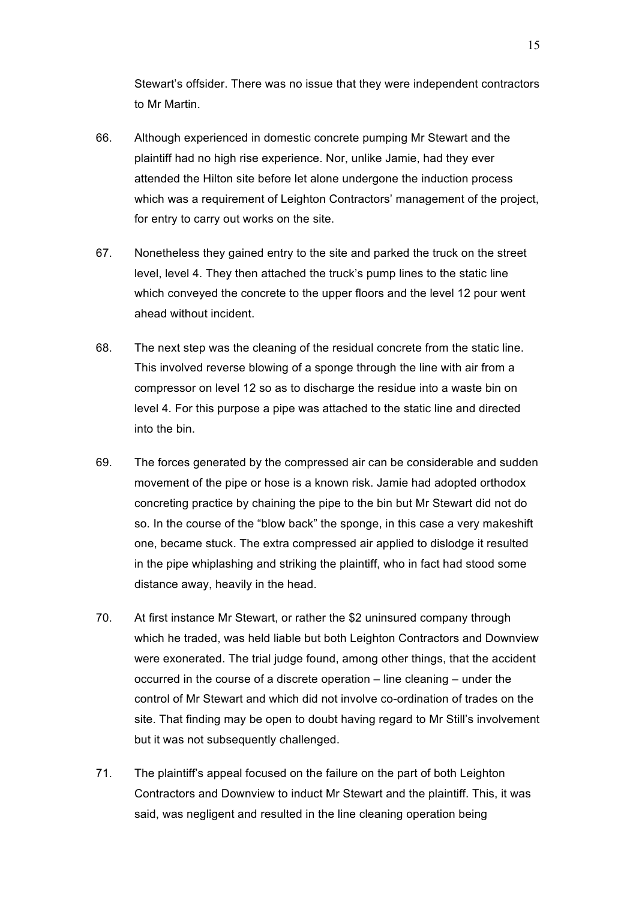Stewart's offsider. There was no issue that they were independent contractors to Mr Martin.

- 66. Although experienced in domestic concrete pumping Mr Stewart and the plaintiff had no high rise experience. Nor, unlike Jamie, had they ever attended the Hilton site before let alone undergone the induction process which was a requirement of Leighton Contractors' management of the project, for entry to carry out works on the site.
- 67. Nonetheless they gained entry to the site and parked the truck on the street level, level 4. They then attached the truck's pump lines to the static line which conveyed the concrete to the upper floors and the level 12 pour went ahead without incident.
- 68. The next step was the cleaning of the residual concrete from the static line. This involved reverse blowing of a sponge through the line with air from a compressor on level 12 so as to discharge the residue into a waste bin on level 4. For this purpose a pipe was attached to the static line and directed into the bin.
- 69. The forces generated by the compressed air can be considerable and sudden movement of the pipe or hose is a known risk. Jamie had adopted orthodox concreting practice by chaining the pipe to the bin but Mr Stewart did not do so. In the course of the "blow back" the sponge, in this case a very makeshift one, became stuck. The extra compressed air applied to dislodge it resulted in the pipe whiplashing and striking the plaintiff, who in fact had stood some distance away, heavily in the head.
- 70. At first instance Mr Stewart, or rather the \$2 uninsured company through which he traded, was held liable but both Leighton Contractors and Downview were exonerated. The trial judge found, among other things, that the accident occurred in the course of a discrete operation – line cleaning – under the control of Mr Stewart and which did not involve co-ordination of trades on the site. That finding may be open to doubt having regard to Mr Still's involvement but it was not subsequently challenged.
- 71. The plaintiff's appeal focused on the failure on the part of both Leighton Contractors and Downview to induct Mr Stewart and the plaintiff. This, it was said, was negligent and resulted in the line cleaning operation being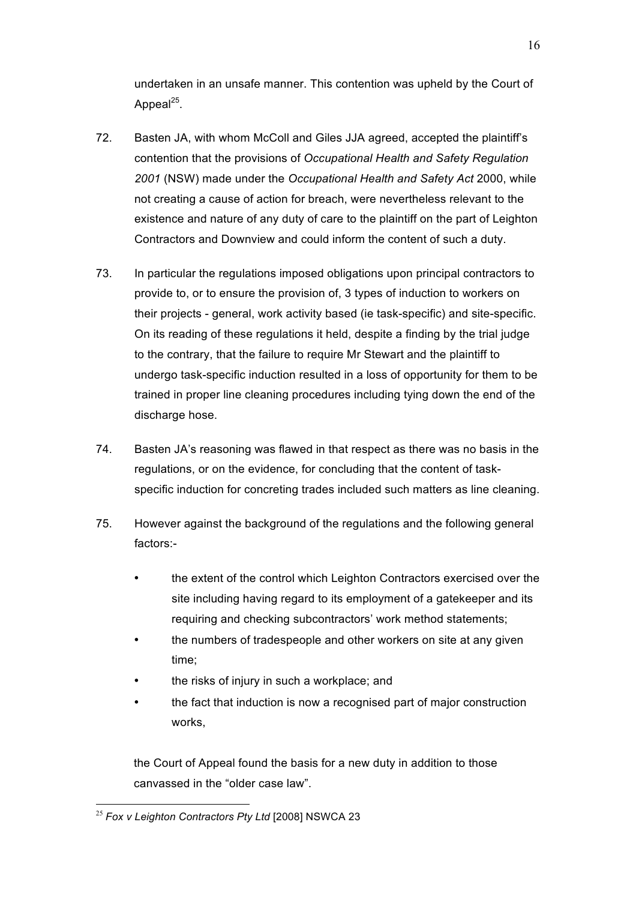undertaken in an unsafe manner. This contention was upheld by the Court of Appeal $^{25}$ .

- 72. Basten JA, with whom McColl and Giles JJA agreed, accepted the plaintiff's contention that the provisions of *Occupational Health and Safety Regulation 2001* (NSW) made under the *Occupational Health and Safety Act* 2000, while not creating a cause of action for breach, were nevertheless relevant to the existence and nature of any duty of care to the plaintiff on the part of Leighton Contractors and Downview and could inform the content of such a duty.
- 73. In particular the regulations imposed obligations upon principal contractors to provide to, or to ensure the provision of, 3 types of induction to workers on their projects - general, work activity based (ie task-specific) and site-specific. On its reading of these regulations it held, despite a finding by the trial judge to the contrary, that the failure to require Mr Stewart and the plaintiff to undergo task-specific induction resulted in a loss of opportunity for them to be trained in proper line cleaning procedures including tying down the end of the discharge hose.
- 74. Basten JA's reasoning was flawed in that respect as there was no basis in the regulations, or on the evidence, for concluding that the content of taskspecific induction for concreting trades included such matters as line cleaning.
- 75. However against the background of the regulations and the following general factors:
	- the extent of the control which Leighton Contractors exercised over the site including having regard to its employment of a gatekeeper and its requiring and checking subcontractors' work method statements;
	- the numbers of tradespeople and other workers on site at any given time;
	- the risks of injury in such a workplace; and
	- the fact that induction is now a recognised part of major construction works,

the Court of Appeal found the basis for a new duty in addition to those canvassed in the "older case law".

 <sup>25</sup> *Fox v Leighton Contractors Pty Ltd* [2008] NSWCA 23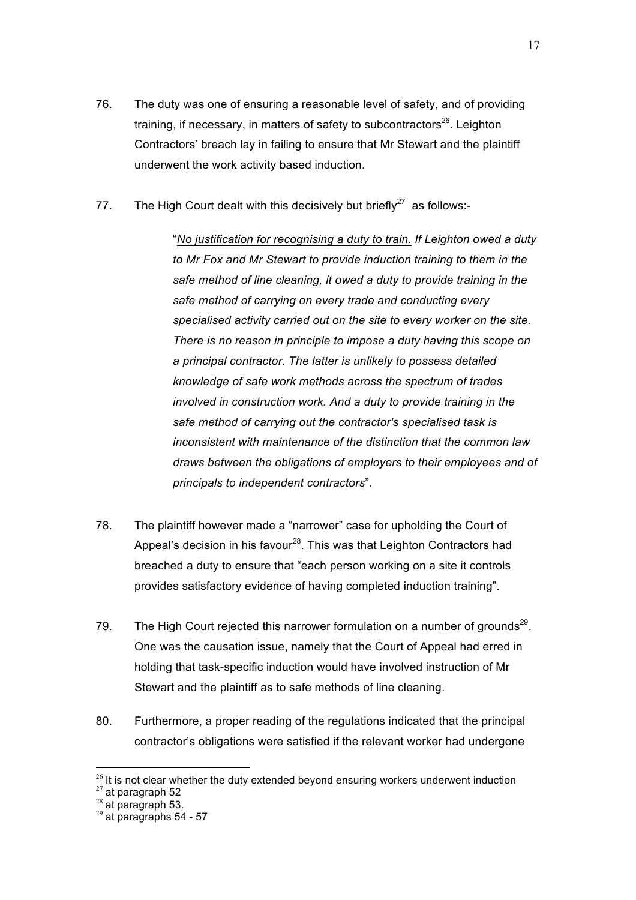- 76. The duty was one of ensuring a reasonable level of safety, and of providing training, if necessary, in matters of safety to subcontractors $26$ . Leighton Contractors' breach lay in failing to ensure that Mr Stewart and the plaintiff underwent the work activity based induction.
- 77. The High Court dealt with this decisively but briefly $27$  as follows:-

"*No justification for recognising a duty to train*. *If Leighton owed a duty to Mr Fox and Mr Stewart to provide induction training to them in the safe method of line cleaning, it owed a duty to provide training in the safe method of carrying on every trade and conducting every specialised activity carried out on the site to every worker on the site. There is no reason in principle to impose a duty having this scope on a principal contractor. The latter is unlikely to possess detailed knowledge of safe work methods across the spectrum of trades involved in construction work. And a duty to provide training in the safe method of carrying out the contractor's specialised task is inconsistent with maintenance of the distinction that the common law draws between the obligations of employers to their employees and of principals to independent contractors*".

- 78. The plaintiff however made a "narrower" case for upholding the Court of Appeal's decision in his favour<sup>28</sup>. This was that Leighton Contractors had breached a duty to ensure that "each person working on a site it controls provides satisfactory evidence of having completed induction training".
- 79. The High Court rejected this narrower formulation on a number of grounds<sup>29</sup>. One was the causation issue, namely that the Court of Appeal had erred in holding that task-specific induction would have involved instruction of Mr Stewart and the plaintiff as to safe methods of line cleaning.
- 80. Furthermore, a proper reading of the regulations indicated that the principal contractor's obligations were satisfied if the relevant worker had undergone

<sup>&</sup>lt;sup>26</sup> It is not clear whether the duty extended beyond ensuring workers underwent induction <sup>27</sup> at paragraph 52 <br><sup>28</sup> at paragraph 53. <sup>29</sup> at paragraphs 54 - 57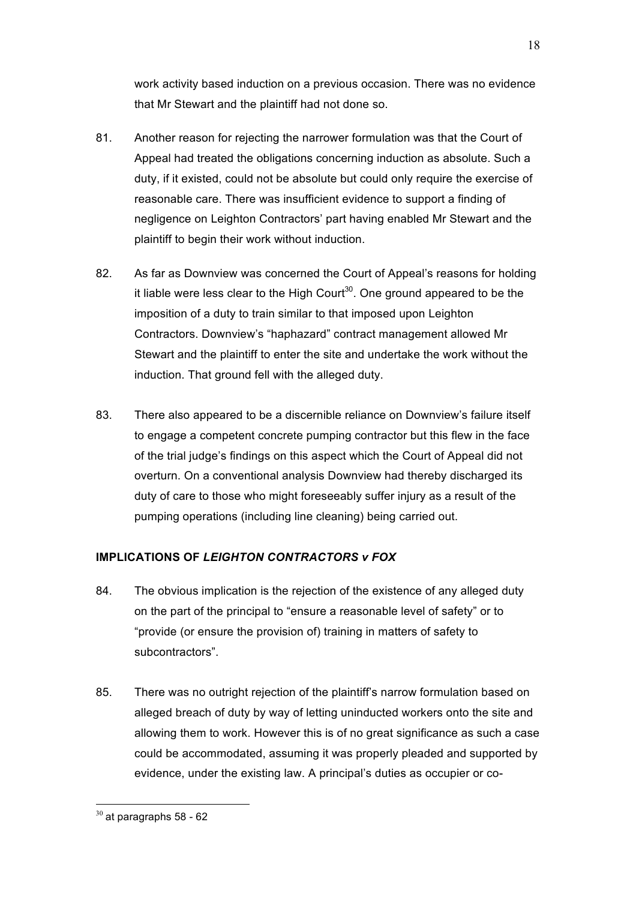work activity based induction on a previous occasion. There was no evidence that Mr Stewart and the plaintiff had not done so.

- 81. Another reason for rejecting the narrower formulation was that the Court of Appeal had treated the obligations concerning induction as absolute. Such a duty, if it existed, could not be absolute but could only require the exercise of reasonable care. There was insufficient evidence to support a finding of negligence on Leighton Contractors' part having enabled Mr Stewart and the plaintiff to begin their work without induction.
- 82. As far as Downview was concerned the Court of Appeal's reasons for holding it liable were less clear to the High Court<sup>30</sup>. One ground appeared to be the imposition of a duty to train similar to that imposed upon Leighton Contractors. Downview's "haphazard" contract management allowed Mr Stewart and the plaintiff to enter the site and undertake the work without the induction. That ground fell with the alleged duty.
- 83. There also appeared to be a discernible reliance on Downview's failure itself to engage a competent concrete pumping contractor but this flew in the face of the trial judge's findings on this aspect which the Court of Appeal did not overturn. On a conventional analysis Downview had thereby discharged its duty of care to those who might foreseeably suffer injury as a result of the pumping operations (including line cleaning) being carried out.

## **IMPLICATIONS OF** *LEIGHTON CONTRACTORS v FOX*

- 84. The obvious implication is the rejection of the existence of any alleged duty on the part of the principal to "ensure a reasonable level of safety" or to "provide (or ensure the provision of) training in matters of safety to subcontractors".
- 85. There was no outright rejection of the plaintiff's narrow formulation based on alleged breach of duty by way of letting uninducted workers onto the site and allowing them to work. However this is of no great significance as such a case could be accommodated, assuming it was properly pleaded and supported by evidence, under the existing law. A principal's duties as occupier or co-

 $30$  at paragraphs 58 - 62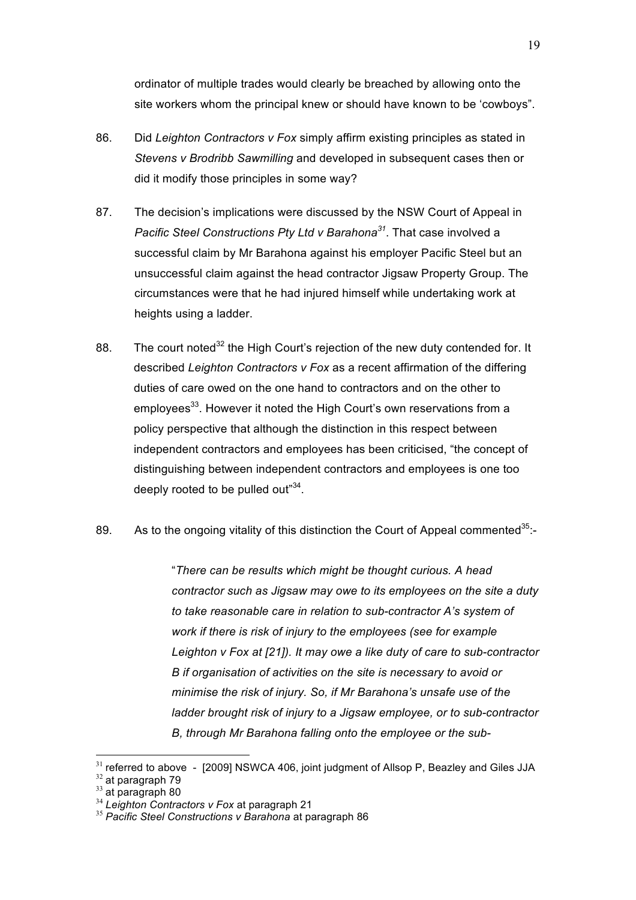ordinator of multiple trades would clearly be breached by allowing onto the site workers whom the principal knew or should have known to be 'cowboys".

- 86. Did *Leighton Contractors v Fox* simply affirm existing principles as stated in *Stevens v Brodribb Sawmilling* and developed in subsequent cases then or did it modify those principles in some way?
- 87. The decision's implications were discussed by the NSW Court of Appeal in *Pacific Steel Constructions Pty Ltd v Barahona<sup>31</sup>*. That case involved a successful claim by Mr Barahona against his employer Pacific Steel but an unsuccessful claim against the head contractor Jigsaw Property Group. The circumstances were that he had injured himself while undertaking work at heights using a ladder.
- 88. The court noted<sup>32</sup> the High Court's rejection of the new duty contended for. It described *Leighton Contractors v Fox* as a recent affirmation of the differing duties of care owed on the one hand to contractors and on the other to employees<sup>33</sup>. However it noted the High Court's own reservations from a policy perspective that although the distinction in this respect between independent contractors and employees has been criticised, "the concept of distinguishing between independent contractors and employees is one too deeply rooted to be pulled out"<sup>34</sup>.

## 89. As to the ongoing vitality of this distinction the Court of Appeal commented  $35$ :-

"*There can be results which might be thought curious. A head contractor such as Jigsaw may owe to its employees on the site a duty to take reasonable care in relation to sub-contractor A's system of work if there is risk of injury to the employees (see for example Leighton v Fox at [21]). It may owe a like duty of care to sub-contractor B if organisation of activities on the site is necessary to avoid or minimise the risk of injury. So, if Mr Barahona's unsafe use of the ladder brought risk of injury to a Jigsaw employee, or to sub-contractor B, through Mr Barahona falling onto the employee or the sub-*

 $31$  referred to above - [2009] NSWCA 406, joint judgment of Allsop P, Beazley and Giles JJA  $32$  at paragraph 79

<sup>33</sup> at paragraph 80<br><sup>34</sup> at paragraph 80<br><sup>35</sup> Pacific Steel Constructions v Barahona at paragraph 86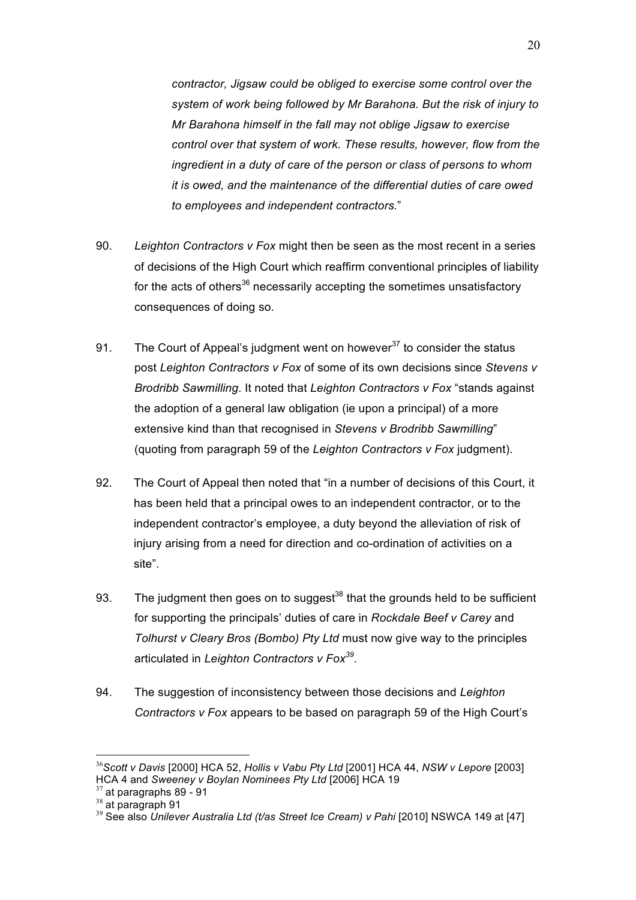*contractor, Jigsaw could be obliged to exercise some control over the system of work being followed by Mr Barahona. But the risk of injury to Mr Barahona himself in the fall may not oblige Jigsaw to exercise control over that system of work. These results, however, flow from the ingredient in a duty of care of the person or class of persons to whom it is owed, and the maintenance of the differential duties of care owed to employees and independent contractors.*"

- 90. *Leighton Contractors v Fox* might then be seen as the most recent in a series of decisions of the High Court which reaffirm conventional principles of liability for the acts of others<sup>36</sup> necessarily accepting the sometimes unsatisfactory consequences of doing so.
- 91. The Court of Appeal's judgment went on however<sup>37</sup> to consider the status post *Leighton Contractors v Fox* of some of its own decisions since *Stevens v Brodribb Sawmilling*. It noted that *Leighton Contractors v Fox* "stands against the adoption of a general law obligation (ie upon a principal) of a more extensive kind than that recognised in *Stevens v Brodribb Sawmilling*" (quoting from paragraph 59 of the *Leighton Contractors v Fox* judgment).
- 92. The Court of Appeal then noted that "in a number of decisions of this Court, it has been held that a principal owes to an independent contractor, or to the independent contractor's employee, a duty beyond the alleviation of risk of injury arising from a need for direction and co-ordination of activities on a site".
- 93. The judgment then goes on to suggest<sup>38</sup> that the grounds held to be sufficient for supporting the principals' duties of care in *Rockdale Beef v Carey* and *Tolhurst v Cleary Bros (Bombo) Pty Ltd* must now give way to the principles articulated in *Leighton Contractors v Fox<sup>39</sup>*.
- 94. The suggestion of inconsistency between those decisions and *Leighton Contractors v Fox* appears to be based on paragraph 59 of the High Court's

 <sup>36</sup>*Scott v Davis* [2000] HCA 52, *Hollis v Vabu Pty Ltd* [2001] HCA 44, *NSW v Lepore* [2003] HCA 4 and *Sweeney v Boylan Nominees Pty Ltd* [2006] HCA 19<br><sup>37</sup> at paragraphs 89 - 91

<sup>38</sup> at paragraph 91<br><sup>38</sup> at paragraph 91<br><sup>39</sup> See also *Unilever Australia Ltd (t/as Street Ice Cream) v Pahi* [2010] NSWCA 149 at [47]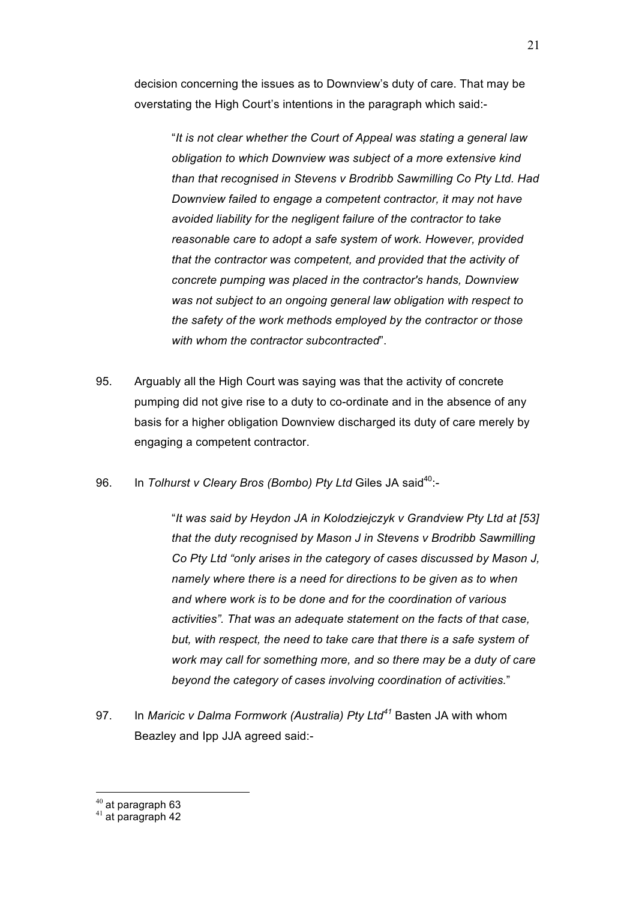decision concerning the issues as to Downview's duty of care. That may be overstating the High Court's intentions in the paragraph which said:-

"*It is not clear whether the Court of Appeal was stating a general law obligation to which Downview was subject of a more extensive kind than that recognised in Stevens v Brodribb Sawmilling Co Pty Ltd. Had Downview failed to engage a competent contractor, it may not have avoided liability for the negligent failure of the contractor to take reasonable care to adopt a safe system of work. However, provided that the contractor was competent, and provided that the activity of concrete pumping was placed in the contractor's hands, Downview was not subject to an ongoing general law obligation with respect to the safety of the work methods employed by the contractor or those with whom the contractor subcontracted*".

- 95. Arguably all the High Court was saying was that the activity of concrete pumping did not give rise to a duty to co-ordinate and in the absence of any basis for a higher obligation Downview discharged its duty of care merely by engaging a competent contractor.
- 96. In *Tolhurst v Cleary Bros (Bombo) Pty Ltd* Giles JA said<sup>40</sup>:-

"*It was said by Heydon JA in Kolodziejczyk v Grandview Pty Ltd at [53] that the duty recognised by Mason J in Stevens v Brodribb Sawmilling Co Pty Ltd "only arises in the category of cases discussed by Mason J, namely where there is a need for directions to be given as to when and where work is to be done and for the coordination of various activities". That was an adequate statement on the facts of that case, but, with respect, the need to take care that there is a safe system of work may call for something more, and so there may be a duty of care beyond the category of cases involving coordination of activities.*"

97. In *Maricic v Dalma Formwork (Australia) Pty Ltd<sup>41</sup>* Basten JA with whom Beazley and Ipp JJA agreed said:-

 $40$  at paragraph 63<br> $41$  at paragraph 42